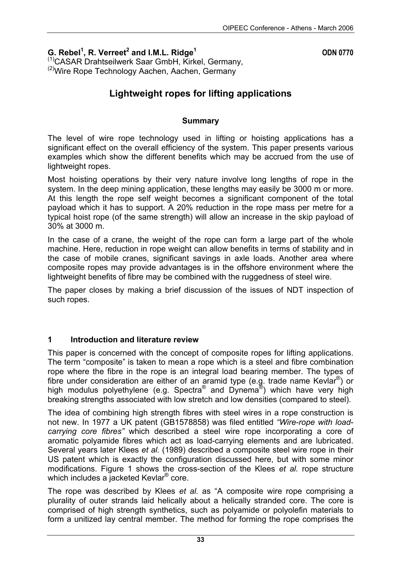# **G. Rebel1 , R. Verreet2 and I.M.L. Ridge1 ODN 0770**

<sup>(1)</sup>CASAR Drahtseilwerk Saar GmbH, Kirkel, Germany, <sup>(2)</sup>Wire Rope Technology Aachen, Aachen, Germany

# **Lightweight ropes for lifting applications**

### **Summary**

The level of wire rope technology used in lifting or hoisting applications has a significant effect on the overall efficiency of the system. This paper presents various examples which show the different benefits which may be accrued from the use of lightweight ropes.

Most hoisting operations by their very nature involve long lengths of rope in the system. In the deep mining application, these lengths may easily be 3000 m or more. At this length the rope self weight becomes a significant component of the total payload which it has to support. A 20% reduction in the rope mass per metre for a typical hoist rope (of the same strength) will allow an increase in the skip payload of 30% at 3000 m.

In the case of a crane, the weight of the rope can form a large part of the whole machine. Here, reduction in rope weight can allow benefits in terms of stability and in the case of mobile cranes, significant savings in axle loads. Another area where composite ropes may provide advantages is in the offshore environment where the lightweight benefits of fibre may be combined with the ruggedness of steel wire.

The paper closes by making a brief discussion of the issues of NDT inspection of such ropes.

## **1 Introduction and literature review**

This paper is concerned with the concept of composite ropes for lifting applications. The term "composite" is taken to mean a rope which is a steel and fibre combination rope where the fibre in the rope is an integral load bearing member. The types of fibre under consideration are either of an aramid type (e.g. trade name Kevlar®) or high modulus polyethylene (e.g. Spectra<sup>®</sup> and Dynema<sup>®</sup>) which have very high breaking strengths associated with low stretch and low densities (compared to steel).

The idea of combining high strength fibres with steel wires in a rope construction is not new. In 1977 a UK patent (GB1578858) was filed entitled *"Wire-rope with loadcarrying core fibres"* which described a steel wire rope incorporating a core of aromatic polyamide fibres which act as load-carrying elements and are lubricated. Several years later Klees *et al.* (1989) described a composite steel wire rope in their US patent which is exactly the configuration discussed here, but with some minor modifications. Figure 1 shows the cross-section of the Klees *et al.* rope structure which includes a jacketed Kevlar<sup>®</sup> core.

The rope was described by Klees *et al.* as "A composite wire rope comprising a plurality of outer strands laid helically about a helically stranded core. The core is comprised of high strength synthetics, such as polyamide or polyolefin materials to form a unitized lay central member. The method for forming the rope comprises the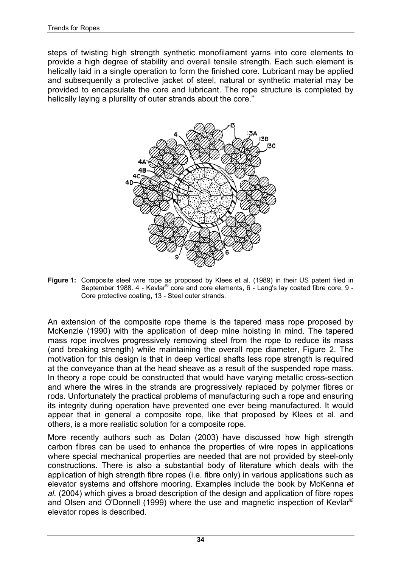steps of twisting high strength synthetic monofilament yarns into core elements to provide a high degree of stability and overall tensile strength. Each such element is helically laid in a single operation to form the finished core. Lubricant may be applied and subsequently a protective jacket of steel, natural or synthetic material may be provided to encapsulate the core and lubricant. The rope structure is completed by helically laying a plurality of outer strands about the core."



**Figure 1:** Composite steel wire rope as proposed by Klees et al. (1989) in their US patent filed in September 1988. 4 - Kevlar<sup>®</sup> core and core elements, 6 - Lang's lay coated fibre core, 9 -Core protective coating, 13 - Steel outer strands.

An extension of the composite rope theme is the tapered mass rope proposed by McKenzie (1990) with the application of deep mine hoisting in mind. The tapered mass rope involves progressively removing steel from the rope to reduce its mass (and breaking strength) while maintaining the overall rope diameter, Figure 2. The motivation for this design is that in deep vertical shafts less rope strength is required at the conveyance than at the head sheave as a result of the suspended rope mass. In theory a rope could be constructed that would have varying metallic cross-section and where the wires in the strands are progressively replaced by polymer fibres or rods. Unfortunately the practical problems of manufacturing such a rope and ensuring its integrity during operation have prevented one ever being manufactured. It would appear that in general a composite rope, like that proposed by Klees et al. and others, is a more realistic solution for a composite rope.

More recently authors such as Dolan (2003) have discussed how high strength carbon fibres can be used to enhance the properties of wire ropes in applications where special mechanical properties are needed that are not provided by steel-only constructions. There is also a substantial body of literature which deals with the application of high strength fibre ropes (i.e. fibre only) in various applications such as elevator systems and offshore mooring. Examples include the book by McKenna *et al.* (2004) which gives a broad description of the design and application of fibre ropes and Olsen and O'Donnell (1999) where the use and magnetic inspection of Kevlar® elevator ropes is described.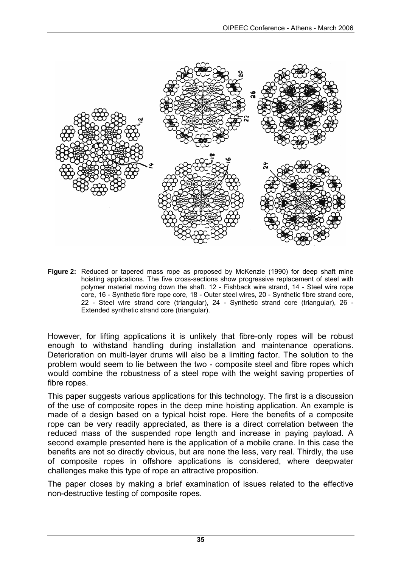

**Figure 2:** Reduced or tapered mass rope as proposed by McKenzie (1990) for deep shaft mine hoisting applications. The five cross-sections show progressive replacement of steel with polymer material moving down the shaft. 12 - Fishback wire strand, 14 - Steel wire rope core, 16 - Synthetic fibre rope core, 18 - Outer steel wires, 20 - Synthetic fibre strand core, 22 - Steel wire strand core (triangular), 24 - Synthetic strand core (triangular), 26 - Extended synthetic strand core (triangular).

However, for lifting applications it is unlikely that fibre-only ropes will be robust enough to withstand handling during installation and maintenance operations. Deterioration on multi-layer drums will also be a limiting factor. The solution to the problem would seem to lie between the two - composite steel and fibre ropes which would combine the robustness of a steel rope with the weight saving properties of fibre ropes.

This paper suggests various applications for this technology. The first is a discussion of the use of composite ropes in the deep mine hoisting application. An example is made of a design based on a typical hoist rope. Here the benefits of a composite rope can be very readily appreciated, as there is a direct correlation between the reduced mass of the suspended rope length and increase in paying payload. A second example presented here is the application of a mobile crane. In this case the benefits are not so directly obvious, but are none the less, very real. Thirdly, the use of composite ropes in offshore applications is considered, where deepwater challenges make this type of rope an attractive proposition.

The paper closes by making a brief examination of issues related to the effective non-destructive testing of composite ropes.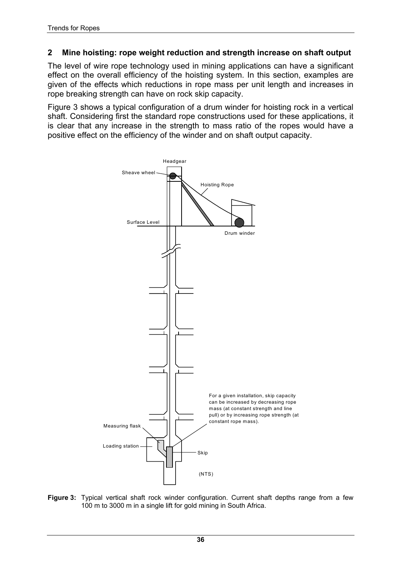### **2 Mine hoisting: rope weight reduction and strength increase on shaft output**

The level of wire rope technology used in mining applications can have a significant effect on the overall efficiency of the hoisting system. In this section, examples are given of the effects which reductions in rope mass per unit length and increases in rope breaking strength can have on rock skip capacity.

Figure 3 shows a typical configuration of a drum winder for hoisting rock in a vertical shaft. Considering first the standard rope constructions used for these applications, it is clear that any increase in the strength to mass ratio of the ropes would have a positive effect on the efficiency of the winder and on shaft output capacity.



**Figure 3:** Typical vertical shaft rock winder configuration. Current shaft depths range from a few 100 m to 3000 m in a single lift for gold mining in South Africa.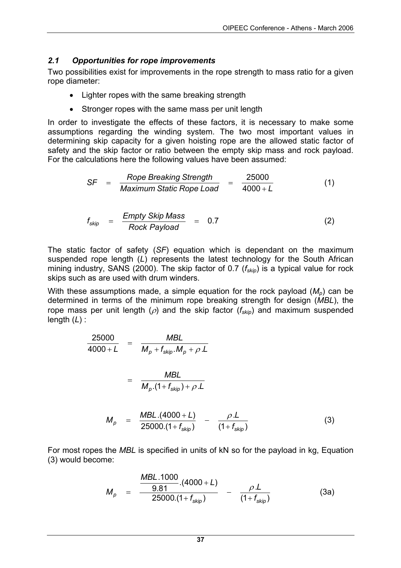## *2.1 Opportunities for rope improvements*

Two possibilities exist for improvements in the rope strength to mass ratio for a given rope diameter:

- Lighter ropes with the same breaking strength
- Stronger ropes with the same mass per unit length

In order to investigate the effects of these factors, it is necessary to make some assumptions regarding the winding system. The two most important values in determining skip capacity for a given hoisting rope are the allowed static factor of safety and the skip factor or ratio between the empty skip mass and rock payload. For the calculations here the following values have been assumed:

$$
SF = \frac{Rope Breaking Strength}{Maximum Static Rope Load} = \frac{25000}{4000 + L}
$$
 (1)

$$
f_{skip} = \frac{Empty \text{ Skip Mass}}{Rock \text{ Payload}} = 0.7 \tag{2}
$$

The static factor of safety (*SF*) equation which is dependant on the maximum suspended rope length (*L*) represents the latest technology for the South African mining industry, SANS (2000). The skip factor of 0.7 ( $f_{\text{skip}}$ ) is a typical value for rock skips such as are used with drum winders.

With these assumptions made, a simple equation for the rock payload  $(M_p)$  can be determined in terms of the minimum rope breaking strength for design (*MBL*), the rope mass per unit length ( $\rho$ ) and the skip factor ( $f_{\text{skip}}$ ) and maximum suspended length (*L*) :

$$
\frac{25000}{4000+L} = \frac{MBL}{M_p + f_{skip}.M_p + \rho.L}
$$
  
= 
$$
\frac{MBL}{M_p.(1 + f_{skip}) + \rho.L}
$$
  

$$
M_p = \frac{MBL.(4000 + L)}{25000.(1 + f_{skip})} - \frac{\rho.L}{(1 + f_{skip})}
$$
 (3)

For most ropes the *MBL* is specified in units of kN so for the payload in kg, Equation (3) would become:

$$
M_{p} = \frac{MBL.1000}{9.81} \cdot (4000 + L) - \frac{\rho L}{(1 + f_{skip})}
$$
 (3a)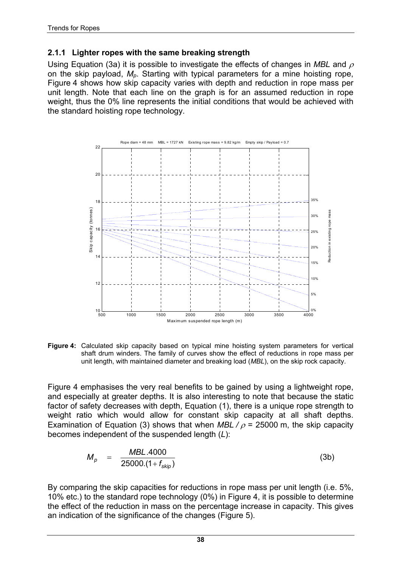### **2.1.1 Lighter ropes with the same breaking strength**

Using Equation (3a) it is possible to investigate the effects of changes in *MBL* and <sup>ρ</sup> on the skip payload, *Mp*. Starting with typical parameters for a mine hoisting rope, Figure 4 shows how skip capacity varies with depth and reduction in rope mass per unit length. Note that each line on the graph is for an assumed reduction in rope weight, thus the 0% line represents the initial conditions that would be achieved with the standard hoisting rope technology.



**Figure 4:** Calculated skip capacity based on typical mine hoisting system parameters for vertical shaft drum winders. The family of curves show the effect of reductions in rope mass per unit length, with maintained diameter and breaking load (*MBL*), on the skip rock capacity.

Figure 4 emphasises the very real benefits to be gained by using a lightweight rope, and especially at greater depths. It is also interesting to note that because the static factor of safety decreases with depth, Equation (1), there is a unique rope strength to weight ratio which would allow for constant skip capacity at all shaft depths. Examination of Equation (3) shows that when  $MBL / \rho = 25000$  m, the skip capacity becomes independent of the suspended length (*L*):

$$
M_p = \frac{MBL.4000}{25000.(1 + f_{skip})}
$$
 (3b)

By comparing the skip capacities for reductions in rope mass per unit length (i.e. 5%, 10% etc.) to the standard rope technology (0%) in Figure 4, it is possible to determine the effect of the reduction in mass on the percentage increase in capacity. This gives an indication of the significance of the changes (Figure 5).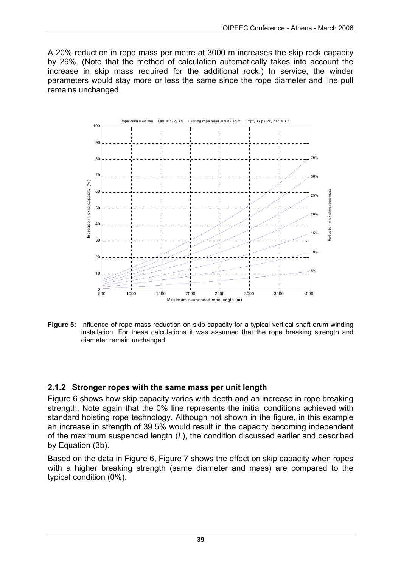A 20% reduction in rope mass per metre at 3000 m increases the skip rock capacity by 29%. (Note that the method of calculation automatically takes into account the increase in skip mass required for the additional rock.) In service, the winder parameters would stay more or less the same since the rope diameter and line pull remains unchanged.



**Figure 5:** Influence of rope mass reduction on skip capacity for a typical vertical shaft drum winding installation. For these calculations it was assumed that the rope breaking strength and diameter remain unchanged.

## **2.1.2 Stronger ropes with the same mass per unit length**

Figure 6 shows how skip capacity varies with depth and an increase in rope breaking strength. Note again that the 0% line represents the initial conditions achieved with standard hoisting rope technology. Although not shown in the figure, in this example an increase in strength of 39.5% would result in the capacity becoming independent of the maximum suspended length (*L*), the condition discussed earlier and described by Equation (3b).

Based on the data in Figure 6, Figure 7 shows the effect on skip capacity when ropes with a higher breaking strength (same diameter and mass) are compared to the typical condition (0%).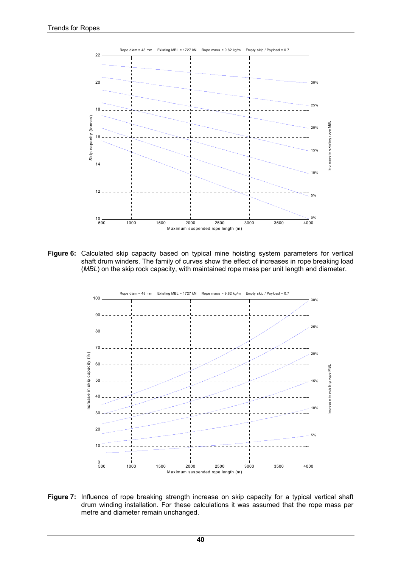

Figure 6: Calculated skip capacity based on typical mine hoisting system parameters for vertical shaft drum winders. The family of curves show the effect of increases in rope breaking load (*MBL*) on the skip rock capacity, with maintained rope mass per unit length and diameter.



Figure 7: Influence of rope breaking strength increase on skip capacity for a typical vertical shaft drum winding installation. For these calculations it was assumed that the rope mass per metre and diameter remain unchanged.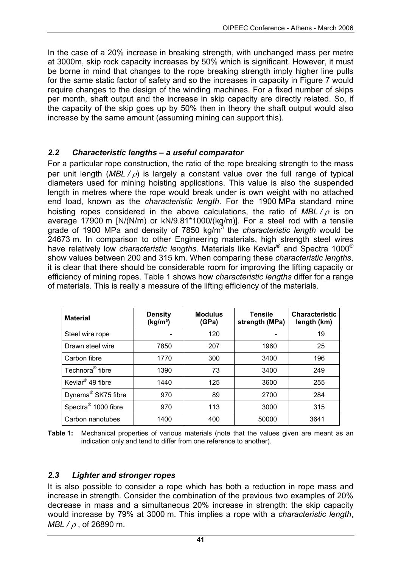In the case of a 20% increase in breaking strength, with unchanged mass per metre at 3000m, skip rock capacity increases by 50% which is significant. However, it must be borne in mind that changes to the rope breaking strength imply higher line pulls for the same static factor of safety and so the increases in capacity in Figure 7 would require changes to the design of the winding machines. For a fixed number of skips per month, shaft output and the increase in skip capacity are directly related. So, if the capacity of the skip goes up by 50% then in theory the shaft output would also increase by the same amount (assuming mining can support this).

### *2.2 Characteristic lengths – a useful comparator*

For a particular rope construction, the ratio of the rope breaking strength to the mass per unit length (*MBL /* ρ) is largely a constant value over the full range of typical diameters used for mining hoisting applications. This value is also the suspended length in metres where the rope would break under is own weight with no attached end load, known as the *characteristic length*. For the 1900 MPa standard mine hoisting ropes considered in the above calculations, the ratio of *MBL /* ρ is on average 17900 m [N/(N/m) or kN/9.81\*1000/(kg/m)]. For a steel rod with a tensile grade of 1900 MPa and density of 7850 kg/m<sup>3</sup> the *characteristic length* would be 24673 m. In comparison to other Engineering materials, high strength steel wires have relatively low *characteristic lengths*. Materials like Kevlar® and Spectra 1000® show values between 200 and 315 km. When comparing these *characteristic lengths*, it is clear that there should be considerable room for improving the lifting capacity or efficiency of mining ropes. Table 1 shows how *characteristic lengths* differ for a range of materials. This is really a measure of the lifting efficiency of the materials.

| <b>Material</b>                 | <b>Density</b><br>(kg/m <sup>3</sup> ) | <b>Modulus</b><br>(GPa) | <b>Tensile</b><br>strength (MPa) | <b>Characteristic</b><br>length (km) |
|---------------------------------|----------------------------------------|-------------------------|----------------------------------|--------------------------------------|
| Steel wire rope                 |                                        | 120                     |                                  | 19                                   |
| Drawn steel wire                | 7850                                   | 207                     | 1960                             | 25                                   |
| Carbon fibre                    | 1770                                   | 300                     | 3400                             | 196                                  |
| Technora <sup>®</sup> fibre     | 1390                                   | 73                      | 3400                             | 249                                  |
| Kevlar <sup>®</sup> 49 fibre    | 1440                                   | 125                     | 3600                             | 255                                  |
| Dynema <sup>®</sup> SK75 fibre  | 970                                    | 89                      | 2700                             | 284                                  |
| Spectra <sup>®</sup> 1000 fibre | 970                                    | 113                     | 3000                             | 315                                  |
| Carbon nanotubes                | 1400                                   | 400                     | 50000                            | 3641                                 |

**Table 1:** Mechanical properties of various materials (note that the values given are meant as an indication only and tend to differ from one reference to another).

## *2.3 Lighter and stronger ropes*

It is also possible to consider a rope which has both a reduction in rope mass and increase in strength. Consider the combination of the previous two examples of 20% decrease in mass and a simultaneous 20% increase in strength: the skip capacity would increase by 79% at 3000 m. This implies a rope with a *characteristic length*, *MBL /* ρ , of 26890 m.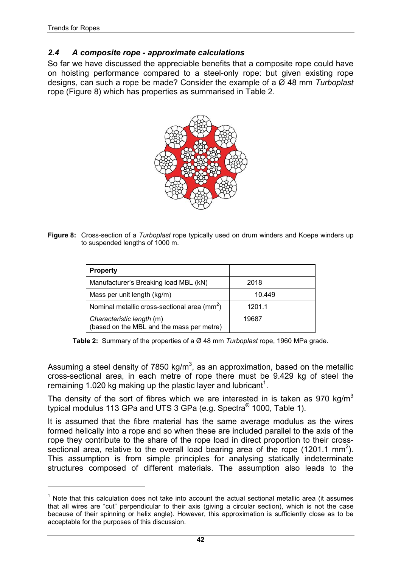$\overline{a}$ 

#### *2.4 A composite rope - approximate calculations*

So far we have discussed the appreciable benefits that a composite rope could have on hoisting performance compared to a steel-only rope: but given existing rope designs, can such a rope be made? Consider the example of a Ø 48 mm *Turboplast* rope (Figure 8) which has properties as summarised in Table 2.



**Figure 8:** Cross-section of a *Turboplast* rope typically used on drum winders and Koepe winders up to suspended lengths of 1000 m.

| <b>Property</b>                                                        |        |
|------------------------------------------------------------------------|--------|
| Manufacturer's Breaking load MBL (kN)                                  | 2018   |
| Mass per unit length (kg/m)                                            | 10.449 |
| Nominal metallic cross-sectional area (mm <sup>2</sup> )               | 1201.1 |
| Characteristic length (m)<br>(based on the MBL and the mass per metre) | 19687  |

**Table 2:** Summary of the properties of a Ø 48 mm *Turboplast* rope, 1960 MPa grade.

Assuming a steel density of 7850 kg/m<sup>3</sup>, as an approximation, based on the metallic cross-sectional area, in each metre of rope there must be 9.429 kg of steel the remaining 1.020 kg making up the plastic layer and lubricant<sup>1</sup>.

The density of the sort of fibres which we are interested in is taken as 970 kg/m<sup>3</sup> typical modulus 113 GPa and UTS 3 GPa (e.g. Spectra® 1000, Table 1).

It is assumed that the fibre material has the same average modulus as the wires formed helically into a rope and so when these are included parallel to the axis of the rope they contribute to the share of the rope load in direct proportion to their crosssectional area, relative to the overall load bearing area of the rope (1201.1 mm<sup>2</sup>). This assumption is from simple principles for analysing statically indeterminate structures composed of different materials. The assumption also leads to the

 $1$  Note that this calculation does not take into account the actual sectional metallic area (it assumes that all wires are "cut" perpendicular to their axis (giving a circular section), which is not the case because of their spinning or helix angle). However, this approximation is sufficiently close as to be acceptable for the purposes of this discussion.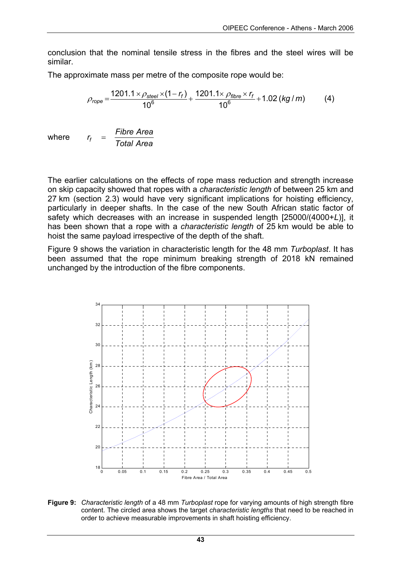conclusion that the nominal tensile stress in the fibres and the steel wires will be similar.

The approximate mass per metre of the composite rope would be:

$$
\rho_{rope} = \frac{1201.1 \times \rho_{steel} \times (1 - r_f)}{10^6} + \frac{1201.1 \times \rho_{fibre} \times r_f}{10^6} + 1.02 \ (kg/m)
$$
 (4)

where

 $r_f$  =

*Total Area Fibre Area*

The earlier calculations on the effects of rope mass reduction and strength increase on skip capacity showed that ropes with a *characteristic length* of between 25 km and 27 km (section 2.3) would have very significant implications for hoisting efficiency, particularly in deeper shafts. In the case of the new South African static factor of safety which decreases with an increase in suspended length [25000/(4000+*L*)], it has been shown that a rope with a *characteristic length* of 25 km would be able to hoist the same payload irrespective of the depth of the shaft.

Figure 9 shows the variation in characteristic length for the 48 mm *Turboplast*. It has been assumed that the rope minimum breaking strength of 2018 kN remained unchanged by the introduction of the fibre components.



**Figure 9:** *Characteristic length* of a 48 mm *Turboplast* rope for varying amounts of high strength fibre content. The circled area shows the target *characteristic lengths* that need to be reached in order to achieve measurable improvements in shaft hoisting efficiency.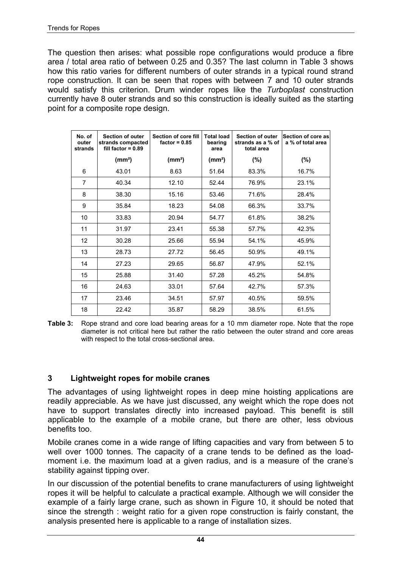The question then arises: what possible rope configurations would produce a fibre area / total area ratio of between 0.25 and 0.35? The last column in Table 3 shows how this ratio varies for different numbers of outer strands in a typical round strand rope construction. It can be seen that ropes with between 7 and 10 outer strands would satisfy this criterion. Drum winder ropes like the *Turboplast* construction currently have 8 outer strands and so this construction is ideally suited as the starting point for a composite rope design.

| No. of<br>outer<br>strands | <b>Section of outer</b><br>strands compacted<br>fill factor = $0.89$ | Section of core fill<br>$factor = 0.85$ | <b>Total load</b><br>bearing<br>area | <b>Section of outer</b><br>strands as a % of<br>total area | Section of core as<br>a % of total area |
|----------------------------|----------------------------------------------------------------------|-----------------------------------------|--------------------------------------|------------------------------------------------------------|-----------------------------------------|
|                            | (mm <sup>2</sup> )                                                   | (mm <sup>2</sup> )                      | (mm <sup>2</sup> )                   | $(\%)$                                                     | $(\% )$                                 |
| 6                          | 43.01                                                                | 8.63                                    | 51.64                                | 83.3%                                                      | 16.7%                                   |
| 7                          | 40.34                                                                | 12.10                                   | 52.44                                | 76.9%                                                      | 23.1%                                   |
| 8                          | 38.30                                                                | 15.16                                   | 53.46                                | 71.6%                                                      | 28.4%                                   |
| 9                          | 35.84                                                                | 18.23                                   | 54.08                                | 66.3%                                                      | 33.7%                                   |
| 10                         | 33.83                                                                | 20.94                                   | 54.77                                | 61.8%                                                      | 38.2%                                   |
| 11                         | 31.97                                                                | 23.41                                   | 55.38                                | 57.7%                                                      | 42.3%                                   |
| 12 <sup>2</sup>            | 30.28                                                                | 25.66                                   | 55.94                                | 54.1%                                                      | 45.9%                                   |
| 13                         | 28.73                                                                | 27.72                                   | 56.45                                | 50.9%                                                      | 49.1%                                   |
| 14                         | 27.23                                                                | 29.65                                   | 56.87                                | 47.9%                                                      | 52.1%                                   |
| 15                         | 25.88                                                                | 31.40                                   | 57.28                                | 45.2%                                                      | 54.8%                                   |
| 16                         | 24.63                                                                | 33.01                                   | 57.64                                | 42.7%                                                      | 57.3%                                   |
| 17                         | 23.46                                                                | 34.51                                   | 57.97                                | 40.5%                                                      | 59.5%                                   |
| 18                         | 22.42                                                                | 35.87                                   | 58.29                                | 38.5%                                                      | 61.5%                                   |

**Table 3:** Rope strand and core load bearing areas for a 10 mm diameter rope. Note that the rope diameter is not critical here but rather the ratio between the outer strand and core areas with respect to the total cross-sectional area.

#### **3 Lightweight ropes for mobile cranes**

The advantages of using lightweight ropes in deep mine hoisting applications are readily appreciable. As we have just discussed, any weight which the rope does not have to support translates directly into increased payload. This benefit is still applicable to the example of a mobile crane, but there are other, less obvious benefits too.

Mobile cranes come in a wide range of lifting capacities and vary from between 5 to well over 1000 tonnes. The capacity of a crane tends to be defined as the loadmoment i.e. the maximum load at a given radius, and is a measure of the crane's stability against tipping over.

In our discussion of the potential benefits to crane manufacturers of using lightweight ropes it will be helpful to calculate a practical example. Although we will consider the example of a fairly large crane, such as shown in Figure 10, it should be noted that since the strength : weight ratio for a given rope construction is fairly constant, the analysis presented here is applicable to a range of installation sizes.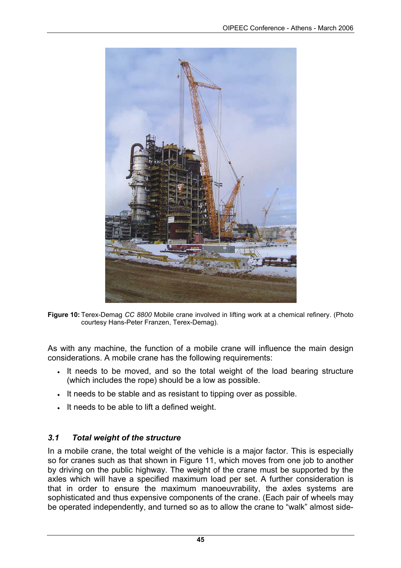

**Figure 10:** Terex-Demag *CC 8800* Mobile crane involved in lifting work at a chemical refinery. (Photo courtesy Hans-Peter Franzen, Terex-Demag).

As with any machine, the function of a mobile crane will influence the main design considerations. A mobile crane has the following requirements:

- It needs to be moved, and so the total weight of the load bearing structure (which includes the rope) should be a low as possible.
- It needs to be stable and as resistant to tipping over as possible.
- It needs to be able to lift a defined weight.

## *3.1 Total weight of the structure*

In a mobile crane, the total weight of the vehicle is a major factor. This is especially so for cranes such as that shown in Figure 11, which moves from one job to another by driving on the public highway. The weight of the crane must be supported by the axles which will have a specified maximum load per set. A further consideration is that in order to ensure the maximum manoeuvrability, the axles systems are sophisticated and thus expensive components of the crane. (Each pair of wheels may be operated independently, and turned so as to allow the crane to "walk" almost side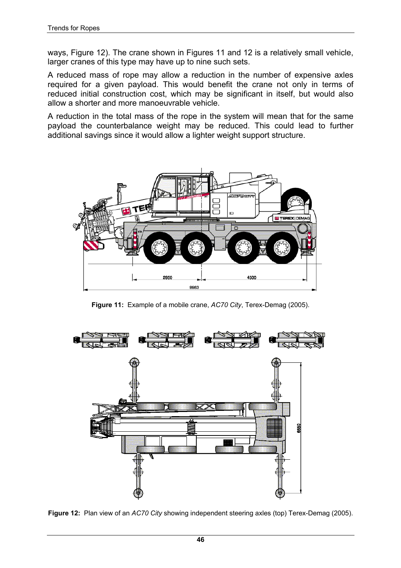ways, Figure 12). The crane shown in Figures 11 and 12 is a relatively small vehicle, larger cranes of this type may have up to nine such sets.

A reduced mass of rope may allow a reduction in the number of expensive axles required for a given payload. This would benefit the crane not only in terms of reduced initial construction cost, which may be significant in itself, but would also allow a shorter and more manoeuvrable vehicle.

A reduction in the total mass of the rope in the system will mean that for the same payload the counterbalance weight may be reduced. This could lead to further additional savings since it would allow a lighter weight support structure.



**Figure 11:** Example of a mobile crane, *AC70 City*, Terex-Demag (2005).



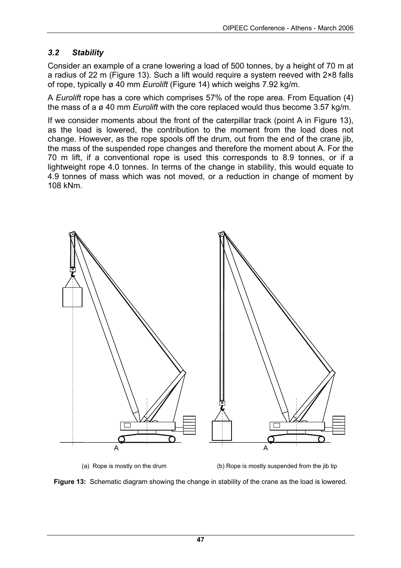# *3.2 Stability*

Consider an example of a crane lowering a load of 500 tonnes, by a height of 70 m at a radius of 22 m (Figure 13). Such a lift would require a system reeved with 2×8 falls of rope, typically ø 40 mm *Eurolift* (Figure 14) which weighs 7.92 kg/m.

A *Eurolift* rope has a core which comprises 57% of the rope area. From Equation (4) the mass of a ø 40 mm *Eurolift* with the core replaced would thus become 3.57 kg/m.

If we consider moments about the front of the caterpillar track (point A in Figure 13), as the load is lowered, the contribution to the moment from the load does not change. However, as the rope spools off the drum, out from the end of the crane jib, the mass of the suspended rope changes and therefore the moment about A. For the 70 m lift, if a conventional rope is used this corresponds to 8.9 tonnes, or if a lightweight rope 4.0 tonnes. In terms of the change in stability, this would equate to 4.9 tonnes of mass which was not moved, or a reduction in change of moment by 108 kNm.



(a) Rope is mostly on the drum (b) Rope is mostly suspended from the jib tip

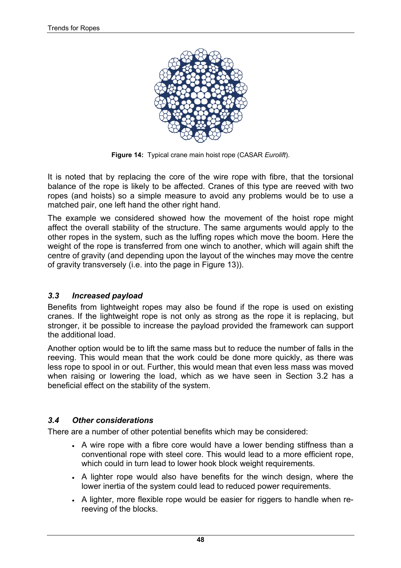

**Figure 14:** Typical crane main hoist rope (CASAR *Eurolift*).

It is noted that by replacing the core of the wire rope with fibre, that the torsional balance of the rope is likely to be affected. Cranes of this type are reeved with two ropes (and hoists) so a simple measure to avoid any problems would be to use a matched pair, one left hand the other right hand.

The example we considered showed how the movement of the hoist rope might affect the overall stability of the structure. The same arguments would apply to the other ropes in the system, such as the luffing ropes which move the boom. Here the weight of the rope is transferred from one winch to another, which will again shift the centre of gravity (and depending upon the layout of the winches may move the centre of gravity transversely (i.e. into the page in Figure 13)).

#### *3.3 Increased payload*

Benefits from lightweight ropes may also be found if the rope is used on existing cranes. If the lightweight rope is not only as strong as the rope it is replacing, but stronger, it be possible to increase the payload provided the framework can support the additional load.

Another option would be to lift the same mass but to reduce the number of falls in the reeving. This would mean that the work could be done more quickly, as there was less rope to spool in or out. Further, this would mean that even less mass was moved when raising or lowering the load, which as we have seen in Section 3.2 has a beneficial effect on the stability of the system.

#### *3.4 Other considerations*

There are a number of other potential benefits which may be considered:

- A wire rope with a fibre core would have a lower bending stiffness than a conventional rope with steel core. This would lead to a more efficient rope, which could in turn lead to lower hook block weight requirements.
- A lighter rope would also have benefits for the winch design, where the lower inertia of the system could lead to reduced power requirements.
- A lighter, more flexible rope would be easier for riggers to handle when rereeving of the blocks.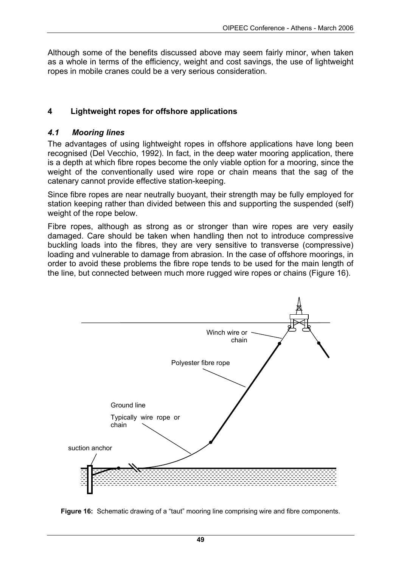Although some of the benefits discussed above may seem fairly minor, when taken as a whole in terms of the efficiency, weight and cost savings, the use of lightweight ropes in mobile cranes could be a very serious consideration.

# **4 Lightweight ropes for offshore applications**

### *4.1 Mooring lines*

The advantages of using lightweight ropes in offshore applications have long been recognised (Del Vecchio, 1992). In fact, in the deep water mooring application, there is a depth at which fibre ropes become the only viable option for a mooring, since the weight of the conventionally used wire rope or chain means that the sag of the catenary cannot provide effective station-keeping.

Since fibre ropes are near neutrally buoyant, their strength may be fully employed for station keeping rather than divided between this and supporting the suspended (self) weight of the rope below.

Fibre ropes, although as strong as or stronger than wire ropes are very easily damaged. Care should be taken when handling then not to introduce compressive buckling loads into the fibres, they are very sensitive to transverse (compressive) loading and vulnerable to damage from abrasion. In the case of offshore moorings, in order to avoid these problems the fibre rope tends to be used for the main length of the line, but connected between much more rugged wire ropes or chains (Figure 16).



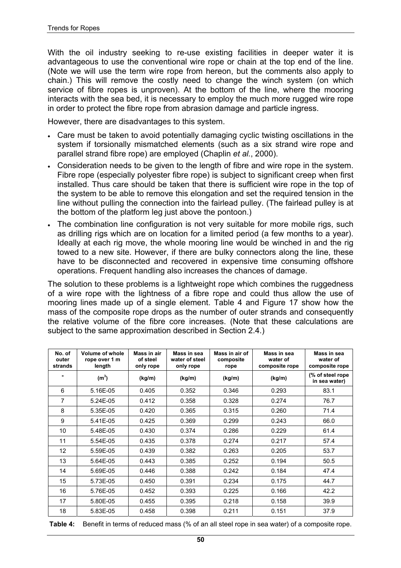With the oil industry seeking to re-use existing facilities in deeper water it is advantageous to use the conventional wire rope or chain at the top end of the line. (Note we will use the term wire rope from hereon, but the comments also apply to chain.) This will remove the costly need to change the winch system (on which service of fibre ropes is unproven). At the bottom of the line, where the mooring interacts with the sea bed, it is necessary to employ the much more rugged wire rope in order to protect the fibre rope from abrasion damage and particle ingress.

However, there are disadvantages to this system.

- Care must be taken to avoid potentially damaging cyclic twisting oscillations in the system if torsionally mismatched elements (such as a six strand wire rope and parallel strand fibre rope) are employed (Chaplin *et al.*, 2000).
- Consideration needs to be given to the length of fibre and wire rope in the system. Fibre rope (especially polyester fibre rope) is subject to significant creep when first installed. Thus care should be taken that there is sufficient wire rope in the top of the system to be able to remove this elongation and set the required tension in the line without pulling the connection into the fairlead pulley. (The fairlead pulley is at the bottom of the platform leg just above the pontoon.)
- The combination line configuration is not very suitable for more mobile rigs, such as drilling rigs which are on location for a limited period (a few months to a year). Ideally at each rig move, the whole mooring line would be winched in and the rig towed to a new site. However, if there are bulky connectors along the line, these have to be disconnected and recovered in expensive time consuming offshore operations. Frequent handling also increases the chances of damage.

The solution to these problems is a lightweight rope which combines the ruggedness of a wire rope with the lightness of a fibre rope and could thus allow the use of mooring lines made up of a single element. Table 4 and Figure 17 show how the mass of the composite rope drops as the number of outer strands and consequently the relative volume of the fibre core increases. (Note that these calculations are subject to the same approximation described in Section 2.4.)

| No. of<br>outer<br>strands | Volume of whole<br>rope over 1 m<br>length | Mass in air<br>of steel<br>only rope | Mass in sea<br>water of steel<br>only rope | Mass in air of<br>composite<br>rope | Mass in sea<br>water of<br>composite rope | Mass in sea<br>water of<br>composite rope |
|----------------------------|--------------------------------------------|--------------------------------------|--------------------------------------------|-------------------------------------|-------------------------------------------|-------------------------------------------|
|                            | (m <sup>3</sup> )                          | (kg/m)                               | (kg/m)                                     | (kg/m)                              | (kg/m)                                    | (% of steel rope<br>in sea water)         |
| 6                          | 5.16E-05                                   | 0.405                                | 0.352                                      | 0.346                               | 0.293                                     | 83.1                                      |
| 7                          | 5.24E-05                                   | 0.412                                | 0.358                                      | 0.328                               | 0.274                                     | 76.7                                      |
| 8                          | 5.35E-05                                   | 0.420                                | 0.365                                      | 0.315                               | 0.260                                     | 71.4                                      |
| 9                          | 5.41E-05                                   | 0.425                                | 0.369                                      | 0.299                               | 0.243                                     | 66.0                                      |
| 10                         | 5.48E-05                                   | 0.430                                | 0.374                                      | 0.286                               | 0.229                                     | 61.4                                      |
| 11                         | 5.54E-05                                   | 0.435                                | 0.378                                      | 0.274                               | 0.217                                     | 57.4                                      |
| 12                         | 5.59E-05                                   | 0.439                                | 0.382                                      | 0.263                               | 0.205                                     | 53.7                                      |
| 13                         | 5.64E-05                                   | 0.443                                | 0.385                                      | 0.252                               | 0.194                                     | 50.5                                      |
| 14                         | 5.69E-05                                   | 0.446                                | 0.388                                      | 0.242                               | 0.184                                     | 47.4                                      |
| 15                         | 5.73E-05                                   | 0.450                                | 0.391                                      | 0.234                               | 0.175                                     | 44.7                                      |
| 16                         | 5.76E-05                                   | 0.452                                | 0.393                                      | 0.225                               | 0.166                                     | 42.2                                      |
| 17                         | 5.80E-05                                   | 0.455                                | 0.395                                      | 0.218                               | 0.158                                     | 39.9                                      |
| 18                         | 5.83E-05                                   | 0.458                                | 0.398                                      | 0.211                               | 0.151                                     | 37.9                                      |

**Table 4:** Benefit in terms of reduced mass (% of an all steel rope in sea water) of a composite rope.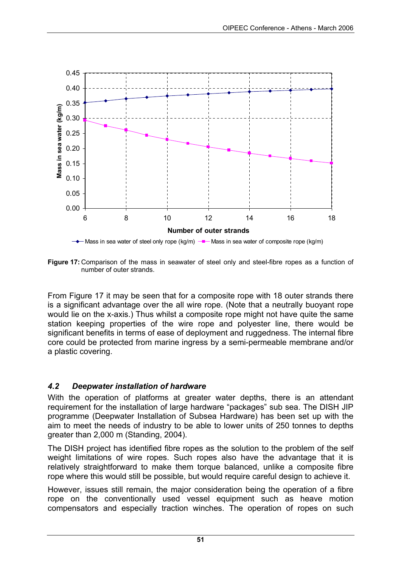

**Figure 17:** Comparison of the mass in seawater of steel only and steel-fibre ropes as a function of number of outer strands.

From Figure 17 it may be seen that for a composite rope with 18 outer strands there is a significant advantage over the all wire rope. (Note that a neutrally buoyant rope would lie on the x-axis.) Thus whilst a composite rope might not have quite the same station keeping properties of the wire rope and polyester line, there would be significant benefits in terms of ease of deployment and ruggedness. The internal fibre core could be protected from marine ingress by a semi-permeable membrane and/or a plastic covering.

## *4.2 Deepwater installation of hardware*

With the operation of platforms at greater water depths, there is an attendant requirement for the installation of large hardware "packages" sub sea. The DISH JIP programme (Deepwater Installation of Subsea Hardware) has been set up with the aim to meet the needs of industry to be able to lower units of 250 tonnes to depths greater than 2,000 m (Standing, 2004).

The DISH project has identified fibre ropes as the solution to the problem of the self weight limitations of wire ropes. Such ropes also have the advantage that it is relatively straightforward to make them torque balanced, unlike a composite fibre rope where this would still be possible, but would require careful design to achieve it.

However, issues still remain, the major consideration being the operation of a fibre rope on the conventionally used vessel equipment such as heave motion compensators and especially traction winches. The operation of ropes on such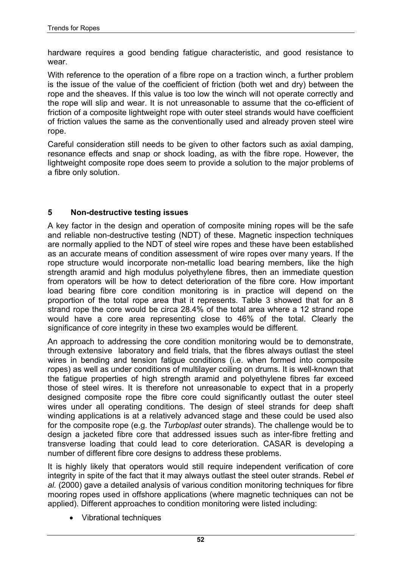hardware requires a good bending fatigue characteristic, and good resistance to wear.

With reference to the operation of a fibre rope on a traction winch, a further problem is the issue of the value of the coefficient of friction (both wet and dry) between the rope and the sheaves. If this value is too low the winch will not operate correctly and the rope will slip and wear. It is not unreasonable to assume that the co-efficient of friction of a composite lightweight rope with outer steel strands would have coefficient of friction values the same as the conventionally used and already proven steel wire rope.

Careful consideration still needs to be given to other factors such as axial damping, resonance effects and snap or shock loading, as with the fibre rope. However, the lightweight composite rope does seem to provide a solution to the major problems of a fibre only solution.

#### **5 Non-destructive testing issues**

A key factor in the design and operation of composite mining ropes will be the safe and reliable non-destructive testing (NDT) of these. Magnetic inspection techniques are normally applied to the NDT of steel wire ropes and these have been established as an accurate means of condition assessment of wire ropes over many years. If the rope structure would incorporate non-metallic load bearing members, like the high strength aramid and high modulus polyethylene fibres, then an immediate question from operators will be how to detect deterioration of the fibre core. How important load bearing fibre core condition monitoring is in practice will depend on the proportion of the total rope area that it represents. Table 3 showed that for an 8 strand rope the core would be circa 28.4% of the total area where a 12 strand rope would have a core area representing close to 46% of the total. Clearly the significance of core integrity in these two examples would be different.

An approach to addressing the core condition monitoring would be to demonstrate, through extensive laboratory and field trials, that the fibres always outlast the steel wires in bending and tension fatigue conditions (i.e. when formed into composite ropes) as well as under conditions of multilayer coiling on drums. It is well-known that the fatigue properties of high strength aramid and polyethylene fibres far exceed those of steel wires. It is therefore not unreasonable to expect that in a properly designed composite rope the fibre core could significantly outlast the outer steel wires under all operating conditions. The design of steel strands for deep shaft winding applications is at a relatively advanced stage and these could be used also for the composite rope (e.g. the *Turboplast* outer strands). The challenge would be to design a jacketed fibre core that addressed issues such as inter-fibre fretting and transverse loading that could lead to core deterioration. CASAR is developing a number of different fibre core designs to address these problems.

It is highly likely that operators would still require independent verification of core integrity in spite of the fact that it may always outlast the steel outer strands. Rebel *et al.* (2000) gave a detailed analysis of various condition monitoring techniques for fibre mooring ropes used in offshore applications (where magnetic techniques can not be applied). Different approaches to condition monitoring were listed including:

• Vibrational techniques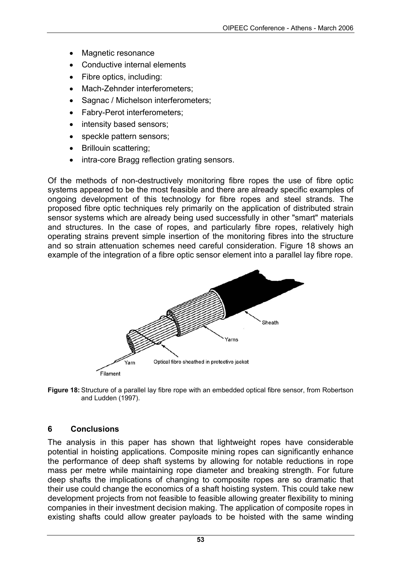- Magnetic resonance
- Conductive internal elements
- Fibre optics, including:
- Mach-Zehnder interferometers:
- Sagnac / Michelson interferometers;
- Fabry-Perot interferometers;
- intensity based sensors:
- speckle pattern sensors;
- Brillouin scattering;
- intra-core Bragg reflection grating sensors.

Of the methods of non-destructively monitoring fibre ropes the use of fibre optic systems appeared to be the most feasible and there are already specific examples of ongoing development of this technology for fibre ropes and steel strands. The proposed fibre optic techniques rely primarily on the application of distributed strain sensor systems which are already being used successfully in other "smart" materials and structures. In the case of ropes, and particularly fibre ropes, relatively high operating strains prevent simple insertion of the monitoring fibres into the structure and so strain attenuation schemes need careful consideration. Figure 18 shows an example of the integration of a fibre optic sensor element into a parallel lay fibre rope.



**Figure 18:** Structure of a parallel lay fibre rope with an embedded optical fibre sensor, from Robertson and Ludden (1997).

#### **6 Conclusions**

The analysis in this paper has shown that lightweight ropes have considerable potential in hoisting applications. Composite mining ropes can significantly enhance the performance of deep shaft systems by allowing for notable reductions in rope mass per metre while maintaining rope diameter and breaking strength. For future deep shafts the implications of changing to composite ropes are so dramatic that their use could change the economics of a shaft hoisting system. This could take new development projects from not feasible to feasible allowing greater flexibility to mining companies in their investment decision making. The application of composite ropes in existing shafts could allow greater payloads to be hoisted with the same winding